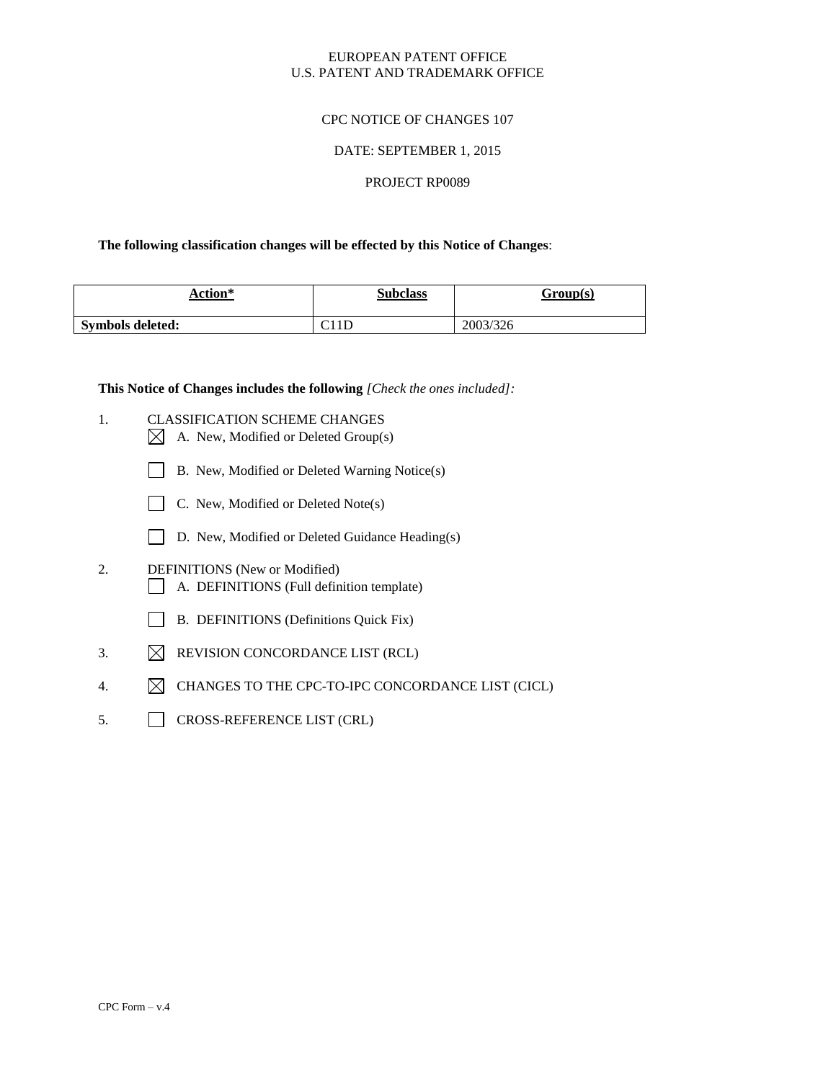## EUROPEAN PATENT OFFICE U.S. PATENT AND TRADEMARK OFFICE

## CPC NOTICE OF CHANGES 107

## DATE: SEPTEMBER 1, 2015

### PROJECT RP0089

### **The following classification changes will be effected by this Notice of Changes**:

| Action*          | <b>Subclass</b> | Group(s) |
|------------------|-----------------|----------|
| Symbols deleted: | C11D            | 2003/326 |

**This Notice of Changes includes the following** *[Check the ones included]:*

- 1. CLASSIFICATION SCHEME CHANGES
	- $\boxtimes$  A. New, Modified or Deleted Group(s)
	- B. New, Modified or Deleted Warning Notice(s)
	- $\Box$  C. New, Modified or Deleted Note(s)
	- D. New, Modified or Deleted Guidance Heading(s)
- 2. DEFINITIONS (New or Modified) A. DEFINITIONS (Full definition template)
	- B. DEFINITIONS (Definitions Quick Fix)
- 3.  $\boxtimes$  REVISION CONCORDANCE LIST (RCL)
- 4.  $\boxtimes$  CHANGES TO THE CPC-TO-IPC CONCORDANCE LIST (CICL)
- 5. CROSS-REFERENCE LIST (CRL)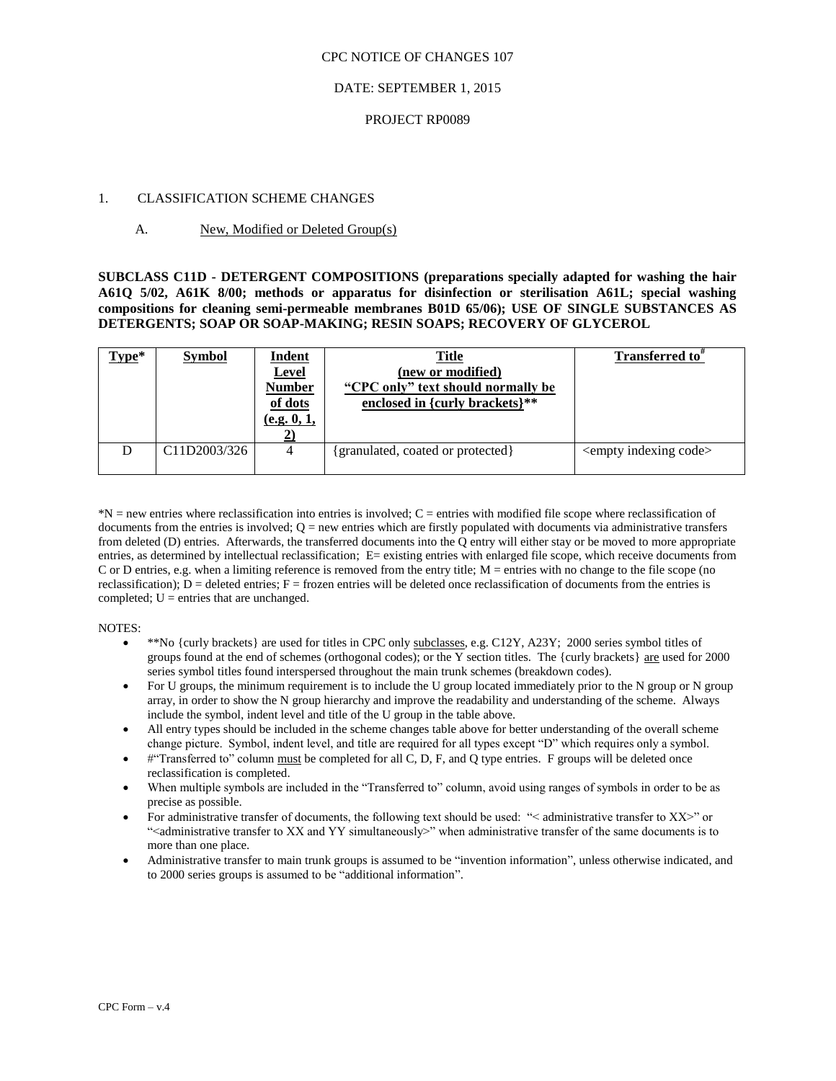#### CPC NOTICE OF CHANGES 107

#### DATE: SEPTEMBER 1, 2015

#### PROJECT RP0089

#### 1. CLASSIFICATION SCHEME CHANGES

#### A. New, Modified or Deleted Group(s)

**SUBCLASS C11D - DETERGENT COMPOSITIONS (preparations specially adapted for washing the hair A61Q 5/02, A61K 8/00; methods or apparatus for disinfection or sterilisation A61L; special washing compositions for cleaning semi-permeable membranes B01D 65/06); USE OF SINGLE SUBSTANCES AS DETERGENTS; SOAP OR SOAP-MAKING; RESIN SOAPS; RECOVERY OF GLYCEROL**

| $Type*$ | <b>Symbol</b>                          | <b>Indent</b><br><b>Level</b><br><b>Number</b><br>of dots<br>(e.g. 0, 1, | <b>Title</b><br>(new or modified)<br>"CPC only" text should normally be<br>enclosed in {curly brackets}** | Transferred to <sup>*</sup>         |
|---------|----------------------------------------|--------------------------------------------------------------------------|-----------------------------------------------------------------------------------------------------------|-------------------------------------|
|         | C <sub>11</sub> D <sub>2003</sub> /326 |                                                                          | {granulated, coated or protected}                                                                         | <empty code="" indexing=""></empty> |

\*N = new entries where reclassification into entries is involved; C = entries with modified file scope where reclassification of documents from the entries is involved;  $Q = new$  entries which are firstly populated with documents via administrative transfers from deleted (D) entries. Afterwards, the transferred documents into the Q entry will either stay or be moved to more appropriate entries, as determined by intellectual reclassification; E= existing entries with enlarged file scope, which receive documents from C or D entries, e.g. when a limiting reference is removed from the entry title; M = entries with no change to the file scope (no reclassification);  $D =$  deleted entries;  $F =$  frozen entries will be deleted once reclassification of documents from the entries is completed;  $U =$  entries that are unchanged.

#### NOTES:

- \*\*No {curly brackets} are used for titles in CPC only subclasses, e.g. C12Y, A23Y; 2000 series symbol titles of groups found at the end of schemes (orthogonal codes); or the Y section titles. The {curly brackets} are used for 2000 series symbol titles found interspersed throughout the main trunk schemes (breakdown codes).
- For U groups, the minimum requirement is to include the U group located immediately prior to the N group or N group array, in order to show the N group hierarchy and improve the readability and understanding of the scheme. Always include the symbol, indent level and title of the U group in the table above.
- All entry types should be included in the scheme changes table above for better understanding of the overall scheme change picture. Symbol, indent level, and title are required for all types except "D" which requires only a symbol.
- #"Transferred to" column must be completed for all C, D, F, and Q type entries. F groups will be deleted once reclassification is completed.
- When multiple symbols are included in the "Transferred to" column, avoid using ranges of symbols in order to be as precise as possible.
- For administrative transfer of documents, the following text should be used: "< administrative transfer to XX>" or "<administrative transfer to XX and YY simultaneously>" when administrative transfer of the same documents is to more than one place.
- Administrative transfer to main trunk groups is assumed to be "invention information", unless otherwise indicated, and to 2000 series groups is assumed to be "additional information".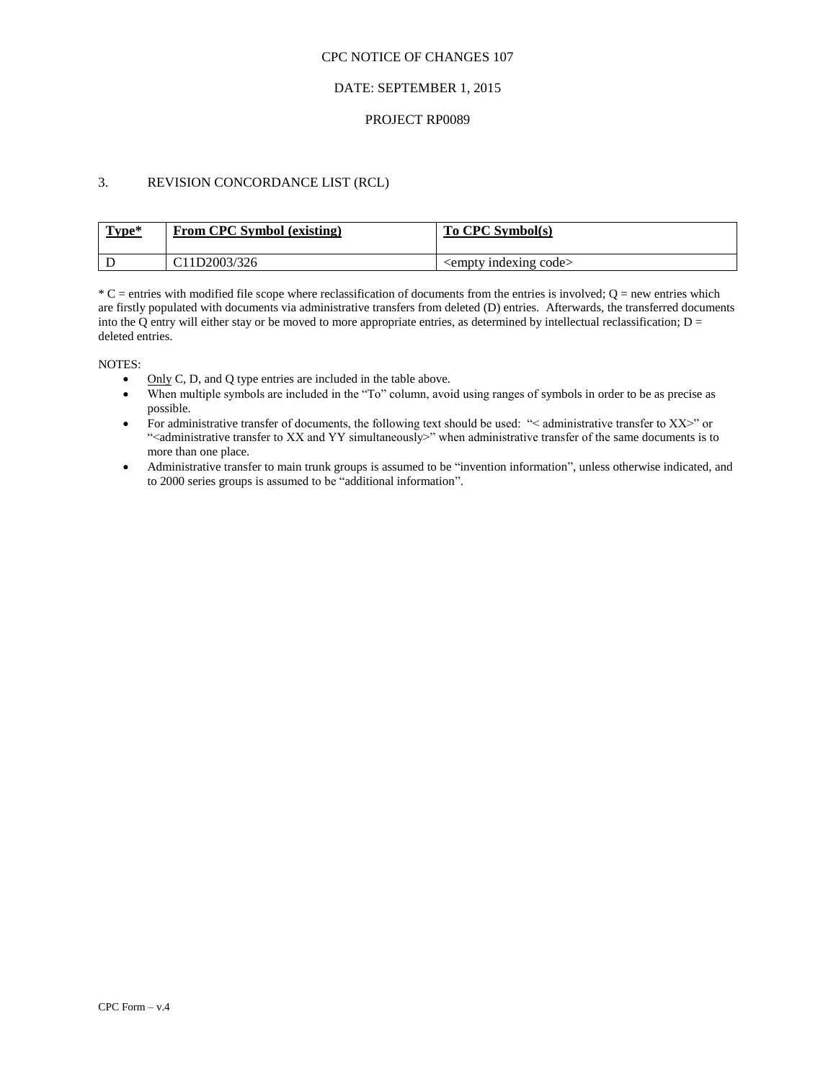#### CPC NOTICE OF CHANGES 107

## DATE: SEPTEMBER 1, 2015

#### PROJECT RP0089

# 3. REVISION CONCORDANCE LIST (RCL)

| Type* | From CPC Symbol (existing)             | To CPC Symbol(s)                  |
|-------|----------------------------------------|-----------------------------------|
|       | C <sub>11</sub> D <sub>2003</sub> /326 | $\leq$ empty indexing code $\geq$ |

 $*C$  = entries with modified file scope where reclassification of documents from the entries is involved;  $Q$  = new entries which are firstly populated with documents via administrative transfers from deleted (D) entries. Afterwards, the transferred documents into the Q entry will either stay or be moved to more appropriate entries, as determined by intellectual reclassification;  $D =$ deleted entries.

NOTES:

- $\bullet$  Only C, D, and Q type entries are included in the table above.
- When multiple symbols are included in the "To" column, avoid using ranges of symbols in order to be as precise as possible.
- For administrative transfer of documents, the following text should be used: "< administrative transfer to XX>" or ">
"<administrative transfer to XX and YY simultaneously>" when administrative transfer of the same documents is to more than one place.
- Administrative transfer to main trunk groups is assumed to be "invention information", unless otherwise indicated, and to 2000 series groups is assumed to be "additional information".